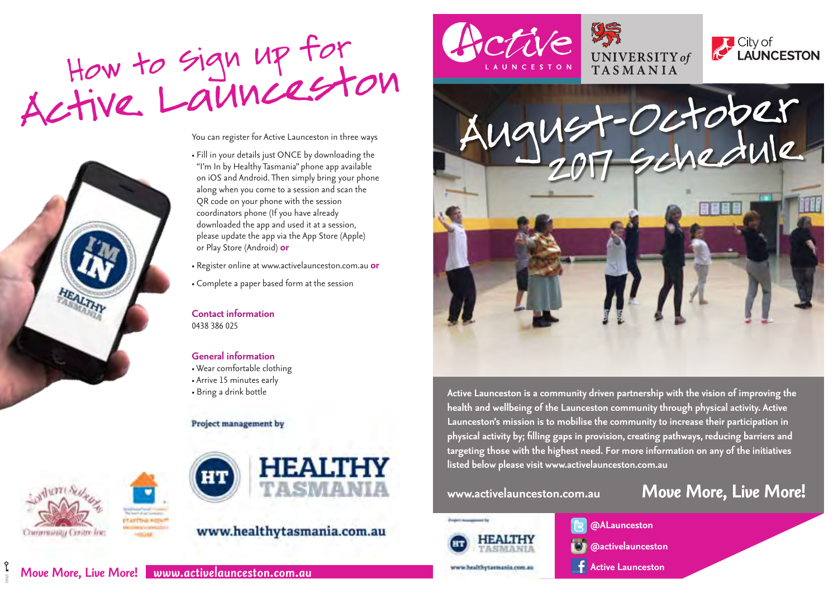

You can register for Active Launceston in three ways



• Fill in your details just ONCE by downloading the "I'm In by Healthy Tasmania" phone app available on iOS and Android. Then simply bring your phone along when you come to a session and scan the QR code on your phone with the session coordinators phone (If you have already downloaded the app and used it at a session, please update the app via the App Store (Apple) or Play Store (Android) **or**

• Register online at www.activelaunceston.com.au **or**

• Complete a paper based form at the session

**Contact information**  0438 386 025

**General information**  • Wear comfortable clothing • Arrive 15 minutes early • Bring a drink bottle

#### Project management by



19921



## www.healthytasmania.com.au









**Active Launceston is a community driven partnership with the vision of improving the health and wellbeing of the Launceston community through physical activity. Active Launceston's mission is to mobilise the community to increase their participation in physical activity by; filling gaps in provision, creating pathways, reducing barriers and targeting those with the highest need. For more information on any of the initiatives listed below please visit www.activelaunceston.com.au**



**@ALaunceston @activelaunceston**

## **www.activelaunceston.com.au** *Move More, Live More!*

**Active Launceston**

### *Move More, Live More! www.activelaunceston.com.au*